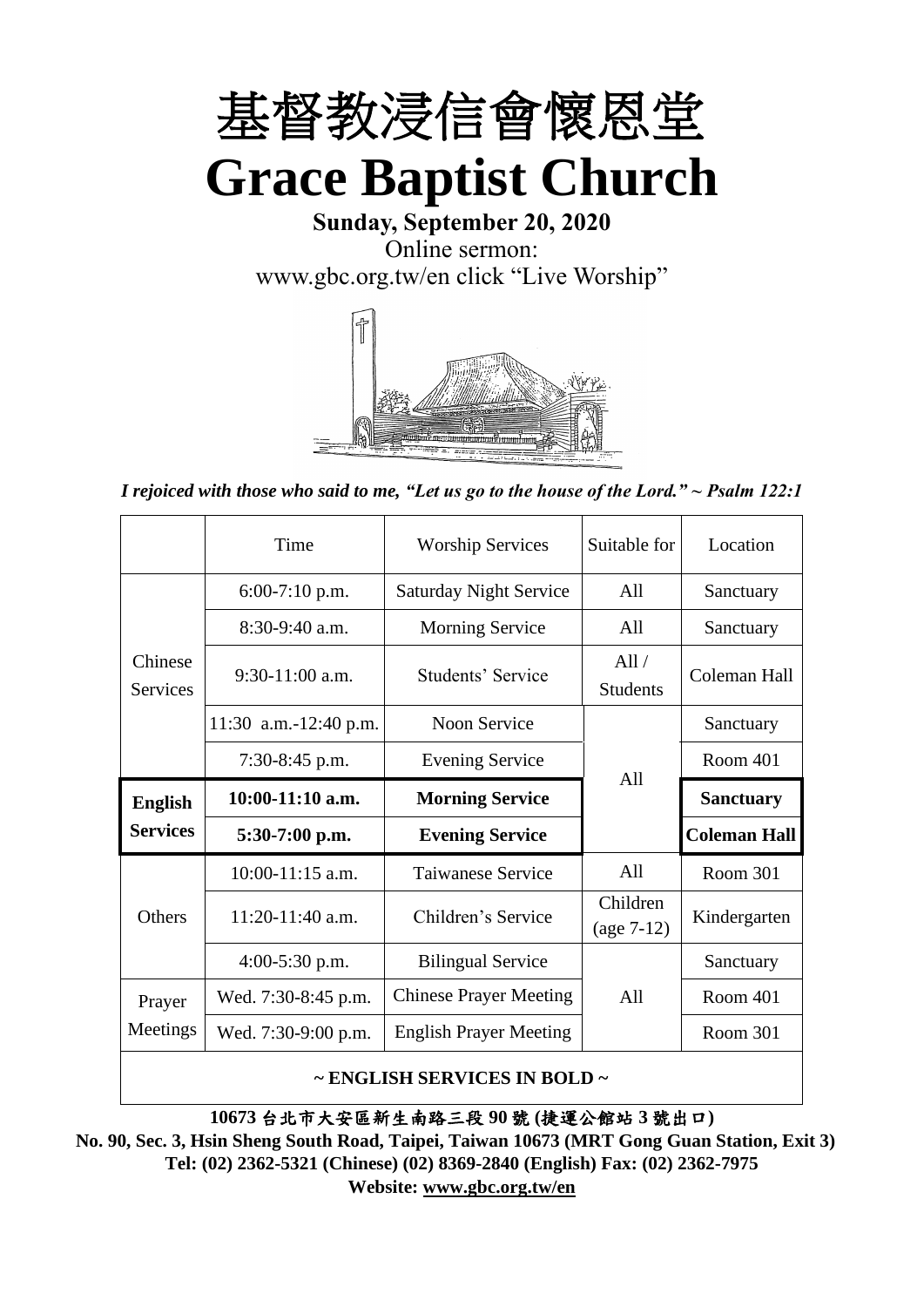

**Sunday, September 20, 2020** Online sermon: [www.gbc.org.tw/en](http://www.gbc.org.tw/en) click "Live Worship"



*I rejoiced with those who said to me, "Let us go to the house of the Lord." ~ Psalm 122:1*

|                            | Time                  | <b>Worship Services</b>                      | Suitable for             | Location            |
|----------------------------|-----------------------|----------------------------------------------|--------------------------|---------------------|
|                            | $6:00-7:10$ p.m.      | <b>Saturday Night Service</b>                | All                      | Sanctuary           |
|                            | $8:30-9:40$ a.m.      | <b>Morning Service</b>                       | All                      | Sanctuary           |
| Chinese<br><b>Services</b> | $9:30-11:00$ a.m.     | All/<br>Students' Service<br><b>Students</b> |                          | Coleman Hall        |
|                            | 11:30 a.m.-12:40 p.m. | Noon Service                                 |                          | Sanctuary           |
|                            | $7:30-8:45$ p.m.      | <b>Evening Service</b>                       | A11                      | Room 401            |
|                            |                       |                                              |                          |                     |
| <b>English</b>             | $10:00-11:10$ a.m.    | <b>Morning Service</b>                       |                          | <b>Sanctuary</b>    |
| <b>Services</b>            | $5:30-7:00$ p.m.      | <b>Evening Service</b>                       |                          | <b>Coleman Hall</b> |
|                            | 10:00-11:15 a.m.      | <b>Taiwanese Service</b>                     | All                      | Room 301            |
| <b>Others</b>              | $11:20-11:40$ a.m.    | Children's Service                           | Children<br>$(age 7-12)$ | Kindergarten        |
|                            | $4:00-5:30$ p.m.      | <b>Bilingual Service</b>                     |                          | Sanctuary           |
| Prayer                     | Wed. 7:30-8:45 p.m.   | <b>Chinese Prayer Meeting</b>                | A11                      | Room 401            |
| Meetings                   | Wed. 7:30-9:00 p.m.   | <b>English Prayer Meeting</b>                |                          | Room 301            |

#### **~ ENGLISH SERVICES IN BOLD ~**

**10673** 台北市大安區新生南路三段 **90** 號 **(**捷運公館站 **3** 號出口**)**

**No. 90, Sec. 3, Hsin Sheng South Road, Taipei, Taiwan 10673 (MRT Gong Guan Station, Exit 3) Tel: (02) 2362-5321 (Chinese) (02) 8369-2840 (English) Fax: (02) 2362-7975 Website: [www.gbc.org.tw/en](http://www.gbc.org.tw/en)**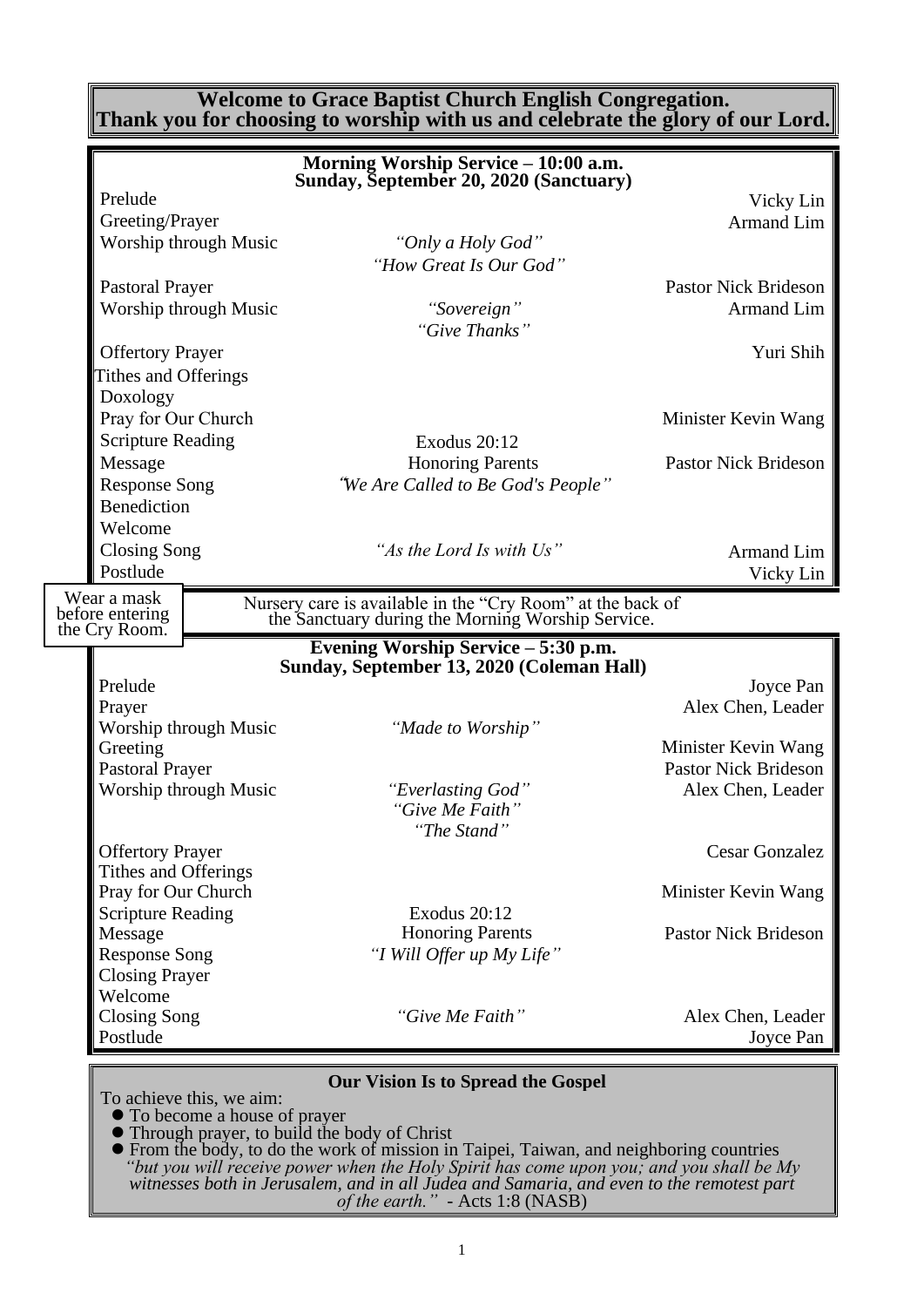#### **Welcome to Grace Baptist Church English Congregation. Thank you for choosing to worship with us and celebrate the glory of our Lord.**

|                                | Morning Worship Service - 10:00 a.m.<br>Sunday, September 20, 2020 (Sanctuary)                                  |                             |
|--------------------------------|-----------------------------------------------------------------------------------------------------------------|-----------------------------|
| Prelude                        |                                                                                                                 | Vicky Lin                   |
| Greeting/Prayer                |                                                                                                                 | Armand Lim                  |
| Worship through Music          | "Only a Holy God"<br>"How Great Is Our God"                                                                     |                             |
| <b>Pastoral Prayer</b>         |                                                                                                                 | <b>Pastor Nick Brideson</b> |
| Worship through Music          | "Sovereign"<br>"Give Thanks"                                                                                    | Armand Lim                  |
| <b>Offertory Prayer</b>        |                                                                                                                 | Yuri Shih                   |
| <b>Tithes and Offerings</b>    |                                                                                                                 |                             |
| Doxology                       |                                                                                                                 |                             |
| Pray for Our Church            |                                                                                                                 | Minister Kevin Wang         |
| <b>Scripture Reading</b>       | <b>Exodus 20:12</b>                                                                                             |                             |
| Message                        | <b>Honoring Parents</b>                                                                                         | <b>Pastor Nick Brideson</b> |
| <b>Response Song</b>           | "We Are Called to Be God's People"                                                                              |                             |
| <b>Benediction</b>             |                                                                                                                 |                             |
| Welcome                        |                                                                                                                 |                             |
| <b>Closing Song</b>            | "As the Lord Is with Us"                                                                                        | Armand Lim                  |
| Postlude                       |                                                                                                                 | Vicky Lin                   |
|                                |                                                                                                                 |                             |
| Wear a mask<br>before entering | Nursery care is available in the "Cry Room" at the back of<br>the Sanctuary during the Morning Worship Service. |                             |
| the Cry Room.                  |                                                                                                                 |                             |
|                                | Evening Worship Service – 5:30 p.m.<br>Sunday, September 13, 2020 (Coleman Hall)                                |                             |
| Prelude                        |                                                                                                                 | Joyce Pan                   |
| Prayer                         |                                                                                                                 | Alex Chen, Leader           |
| Worship through Music          | "Made to Worship"                                                                                               |                             |
| Greeting                       |                                                                                                                 | Minister Kevin Wang         |
| <b>Pastoral Prayer</b>         |                                                                                                                 | <b>Pastor Nick Brideson</b> |
| Worship through Music          | "Everlasting God"                                                                                               | Alex Chen, Leader           |
|                                | "Give Me Faith"<br>"The Stand"                                                                                  |                             |
| <b>Offertory Prayer</b>        |                                                                                                                 | <b>Cesar Gonzalez</b>       |
| Tithes and Offerings           |                                                                                                                 |                             |
| Pray for Our Church            |                                                                                                                 | Minister Kevin Wang         |
| <b>Scripture Reading</b>       | Exodus 20:12                                                                                                    |                             |
| Message                        | <b>Honoring Parents</b>                                                                                         | <b>Pastor Nick Brideson</b> |
| <b>Response Song</b>           | "I Will Offer up My Life"                                                                                       |                             |
| <b>Closing Prayer</b>          |                                                                                                                 |                             |
| Welcome                        |                                                                                                                 |                             |
| <b>Closing Song</b>            | "Give Me Faith"                                                                                                 | Alex Chen, Leader           |
| Postlude                       |                                                                                                                 | Joyce Pan                   |
|                                |                                                                                                                 |                             |
|                                | <b>Our Vision Is to Spread the Gospel</b>                                                                       |                             |

To achieve this, we aim:

⚫ To become a house of prayer

⚫ Through prayer, to build the body of Christ

⚫ From the body, to do the work of mission in Taipei, Taiwan, and neighboring countries *"but you will receive power when the Holy Spirit has come upon you; and you shall be My witnesses both in Jerusalem, and in all Judea and Samaria, and even to the remotest part of the earth." -* Acts 1:8 (NASB)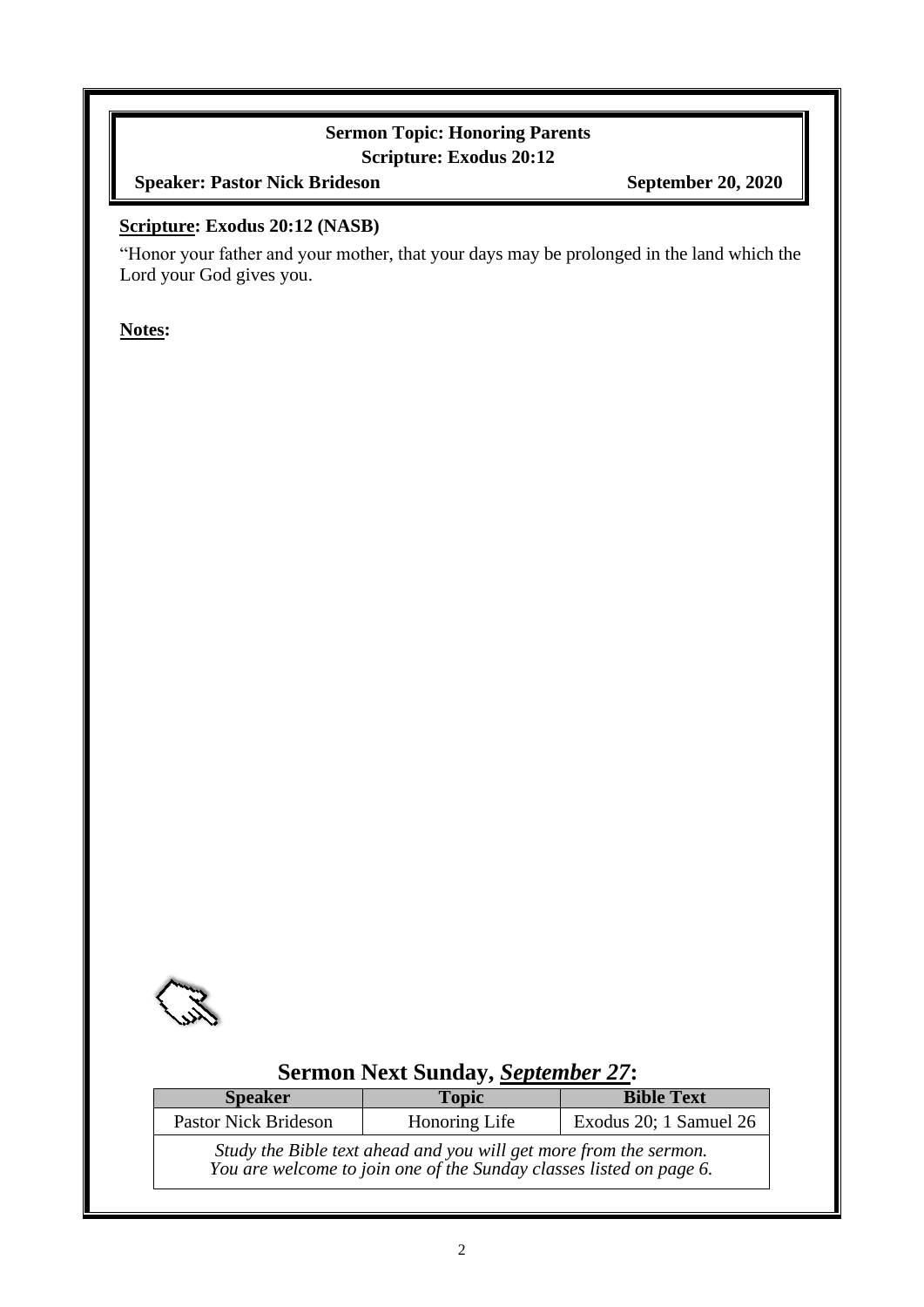### **Sermon Topic: Honoring Parents Scripture: Exodus 20:12**

**Speaker: Pastor Nick Brideson September 20, 2020** 

#### **Scripture: Exodus 20:12 (NASB)**

"Honor your father and your mother, that your days may be prolonged in the land which the Lord your God gives you.

**Notes:**



## **Sermon Next Sunday,** *September 27***:**

| <b>Speaker</b>                                                                                                                           | <b>Topic</b>  | <b>Bible Text</b>      |  |  |
|------------------------------------------------------------------------------------------------------------------------------------------|---------------|------------------------|--|--|
| <b>Pastor Nick Brideson</b>                                                                                                              | Honoring Life | Exodus 20; 1 Samuel 26 |  |  |
| Study the Bible text ahead and you will get more from the sermon.<br>You are welcome to join one of the Sunday classes listed on page 6. |               |                        |  |  |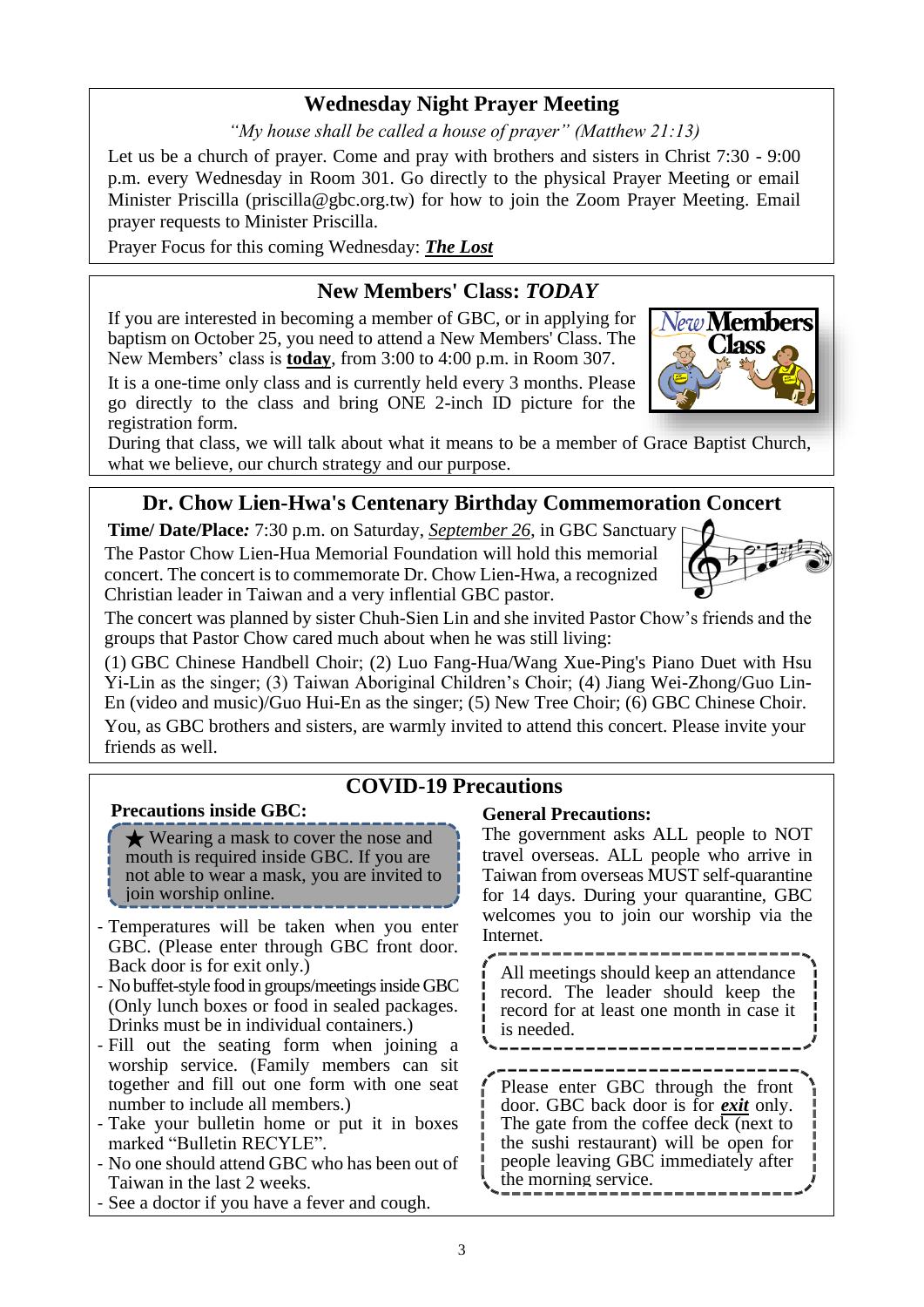### **Wednesday Night Prayer Meeting**

*"My house shall be called a house of prayer" (Matthew 21:13)*

Let us be a church of prayer. Come and pray with brothers and sisters in Christ 7:30 - 9:00 p.m. every Wednesday in Room 301. Go directly to the physical Prayer Meeting or email Minister Priscilla (priscilla@gbc.org.tw) for how to join the Zoom Prayer Meeting. Email prayer requests to Minister Priscilla.

Prayer Focus for this coming Wednesday: *The Lost*

### **New Members' Class:** *TODAY*

If you are interested in becoming a member of GBC, or in applying for baptism on October 25, you need to attend a New Members' Class. The New Members' class is **today**, from 3:00 to 4:00 p.m. in Room 307.

It is a one-time only class and is currently held every 3 months. Please go directly to the class and bring ONE 2-inch ID picture for the registration form.



### **Dr. Chow Lien-Hwa's Centenary Birthday Commemoration Concert**

**Time/ Date/Place***:* 7:30 p.m. on Saturday, *September 26*, in GBC Sanctuary The Pastor Chow Lien-Hua Memorial Foundation will hold this memorial concert. The concert is to commemorate Dr. Chow Lien-Hwa, a recognized Christian leader in Taiwan and a very inflential GBC pastor.



lew **Members llass** 

The concert was planned by sister Chuh-Sien Lin and she invited Pastor Chow's friends and the groups that Pastor Chow cared much about when he was still living:

(1) GBC Chinese Handbell Choir; (2) Luo Fang-Hua/Wang Xue-Ping's Piano Duet with Hsu Yi-Lin as the singer; (3) Taiwan Aboriginal Children's Choir; (4) Jiang Wei-Zhong/Guo Lin-En (video and music)/Guo Hui-En as the singer; (5) New Tree Choir; (6) GBC Chinese Choir. You, as GBC brothers and sisters, are warmly invited to attend this concert. Please invite your friends as well.

### **COVID-19 Precautions**

#### **Precautions inside GBC:**

★ Wearing a mask to cover the nose and mouth is required inside GBC. If you are not able to wear a mask, you are invited to join worship online.

- Temperatures will be taken when you enter GBC. (Please enter through GBC front door. Back door is for exit only.)
- No buffet-style food in groups/meetings inside GBC (Only lunch boxes or food in sealed packages. Drinks must be in individual containers.)
- Fill out the seating form when joining a worship service. (Family members can sit together and fill out one form with one seat number to include all members.)
- Take your bulletin home or put it in boxes marked "Bulletin RECYLE".
- No one should attend GBC who has been out of Taiwan in the last 2 weeks.
- See a doctor if you have a fever and cough.

#### **General Precautions:**

The government asks ALL people to NOT travel overseas. ALL people who arrive in Taiwan from overseas MUST self-quarantine for 14 days. During your quarantine, GBC welcomes you to join our worship via the Internet.

All meetings should keep an attendance record. The leader should keep the record for at least one month in case it is needed.

Please enter GBC through the front door. GBC back door is for *exit* only. The gate from the coffee deck (next to the sushi restaurant) will be open for people leaving GBC immediately after the morning service.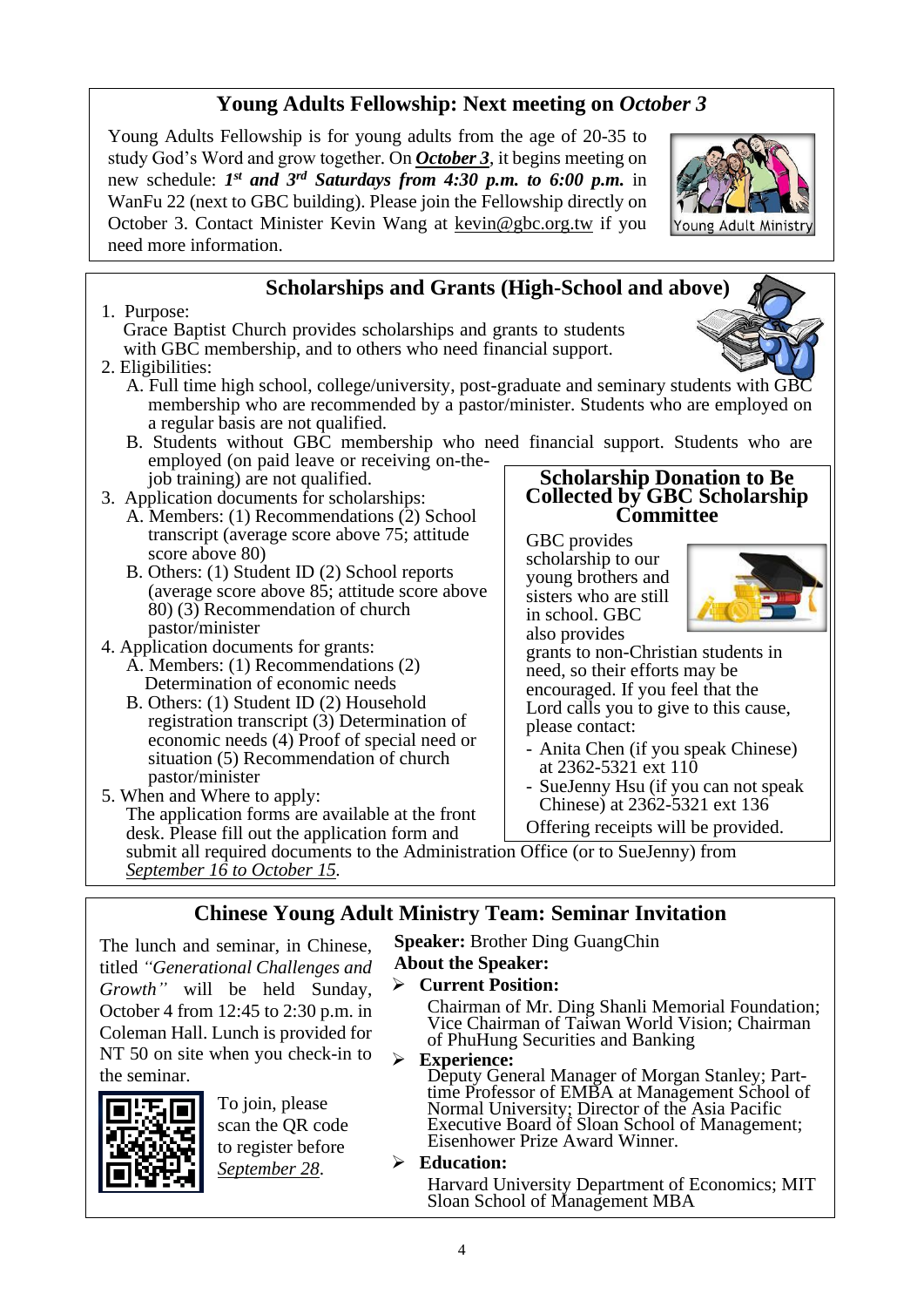## **Young Adults Fellowship: Next meeting on** *October 3*

Young Adults Fellowship is for young adults from the age of 20-35 to study God's Word and grow together. On *October 3*, it begins meeting on new schedule: *1 st and 3rd Saturdays from 4:30 p.m. to 6:00 p.m.* in WanFu 22 (next to GBC building). Please join the Fellowship directly on October 3. Contact Minister Kevin Wang at kevin@gbc.org.tw if you need more information.

## **Scholarships and Grants (High-School and above)**

1. Purpose: Grace Baptist Church provides scholarships and grants to students with GBC membership, and to others who need financial support.

#### 2. Eligibilities:

- A. Full time high school, college/university, post-graduate and seminary students with GBC membership who are recommended by a pastor/minister. Students who are employed on a regular basis are not qualified.
- B. Students without GBC membership who need financial support. Students who are employed (on paid leave or receiving on-the-
- job training) are not qualified. 3. Application documents for scholarships:
	- A. Members: (1) Recommendations (2) School transcript (average score above 75; attitude score above 80)
	- B. Others: (1) Student ID (2) School reports (average score above 85; attitude score above 80) (3) Recommendation of church pastor/minister
- 4. Application documents for grants: A. Members: (1) Recommendations (2)
	- Determination of economic needs B. Others: (1) Student ID (2) Household registration transcript (3) Determination of economic needs (4) Proof of special need or situation (5) Recommendation of church

pastor/minister 5. When and Where to apply: The application forms are available at the front desk. Please fill out the application form and

**Scholarship Donation to Be Collected by GBC Scholarship Committee**

GBC provides scholarship to our young brothers and sisters who are still in school. GBC also provides



grants to non-Christian students in need, so their efforts may be encouraged. If you feel that the Lord calls you to give to this cause, please contact:

- Anita Chen (if you speak Chinese) at 2362-5321 ext 110
- SueJenny Hsu (if you can not speak Chinese) at 2362-5321 ext 136
- Offering receipts will be provided.

submit all required documents to the Administration Office (or to SueJenny) from *September 16 to October 15.*

### **Chinese Young Adult Ministry Team: Seminar Invitation**

The lunch and seminar, in Chinese, titled *"Generational Challenges and*  **Speaker:** Brother Ding GuangChin **About the Speaker:**

# ➢ **Current Position:**

Chairman of Mr. Ding Shanli Memorial Foundation; Vice Chairman of Taiwan World Vision; Chairman of PhuHung Securities and Banking

➢ **Experience:**

Deputy General Manager of Morgan Stanley; Parttime Professor of EMBA at Management School of Normal University; Director of the Asia Pacific Executive Board of Sloan School of Management; Eisenhower Prize Award Winner.

#### ➢ **Education:**

Harvard University Department of Economics; MIT Sloan School of Management MBA



the seminar.

To join, please scan the QR code to register before *September 28*.

*Growth"* will be held Sunday, October 4 from 12:45 to 2:30 p.m. in Coleman Hall. Lunch is provided for NT 50 on site when you check-in to

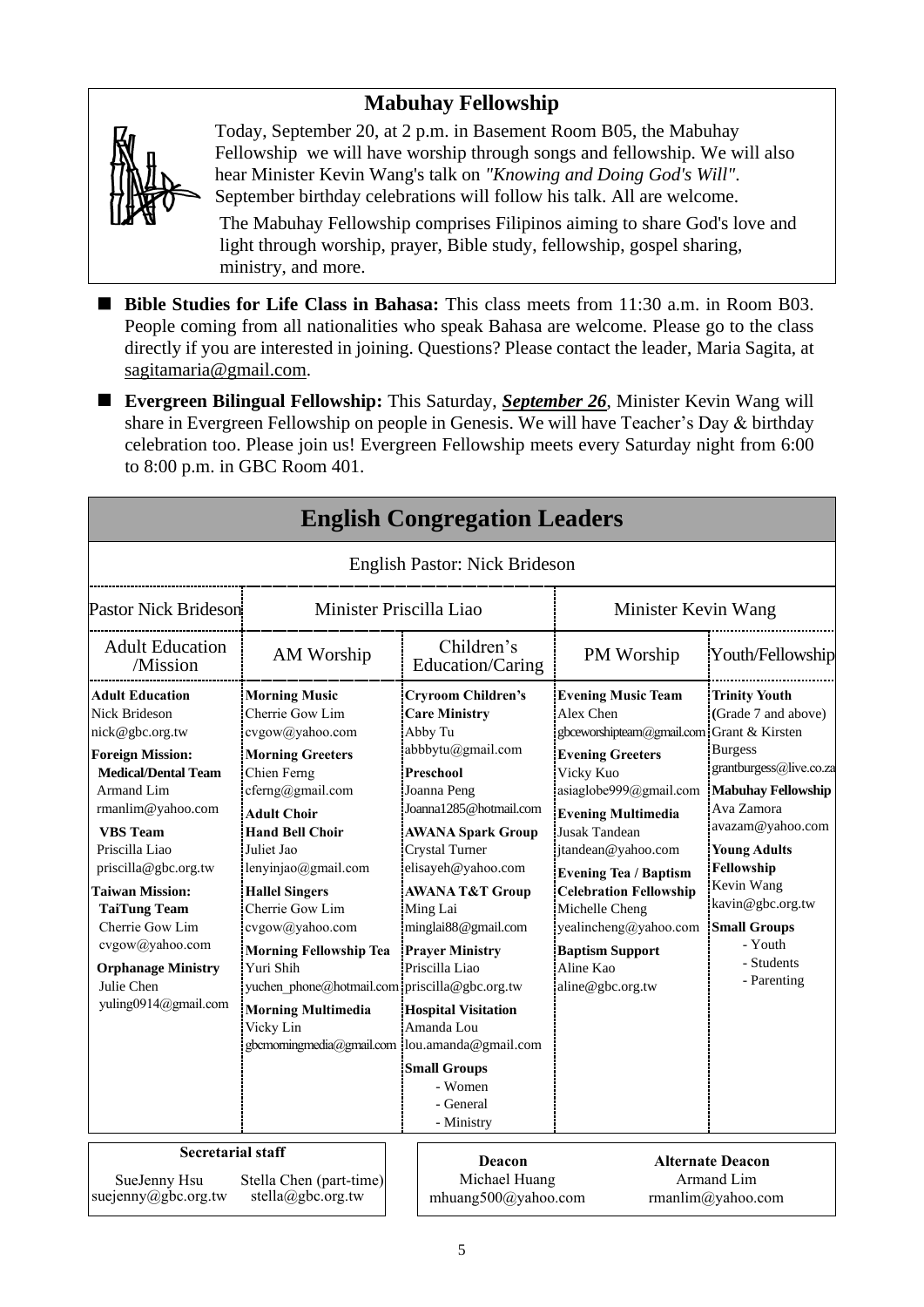## **Mabuhay Fellowship**



Today, September 20, at 2 p.m. in Basement Room B05, the Mabuhay Fellowship we will have worship through songs and fellowship. We will also hear Minister Kevin Wang's talk on *"Knowing and Doing God's Will"*. September birthday celebrations will follow his talk. All are welcome.

The Mabuhay Fellowship comprises Filipinos aiming to share God's love and light through worship, prayer, Bible study, fellowship, gospel sharing, ministry, and more.

- Bible Studies for Life Class in Bahasa: This class meets from 11:30 a.m. in Room B03. People coming from all nationalities who speak Bahasa are welcome. Please go to the class directly if you are interested in joining. Questions? Please contact the leader, Maria Sagita, at sagitamaria@gmail.com.
- **Evergreen Bilingual Fellowship:** This Saturday, *September 26*, Minister Kevin Wang will share in Evergreen Fellowship on people in Genesis. We will have Teacher's Day & birthday celebration too. Please join us! Evergreen Fellowship meets every Saturday night from 6:00 to 8:00 p.m. in GBC Room 401.

**English Congregation Leaders**

|                                                                                                                                                                                                                                                                                                                                                                                             |                                                                                                                                                                                                                                                                                                                                                                                                                                                                          |                                                | Phyndi Congregation Deau                                                                                                                                                                                                                                                                                                                                                                                                          |                                                                                                                                                                                                                                                                                                                                                                                                         |                                                                                                                                                                                                                                                                                               |
|---------------------------------------------------------------------------------------------------------------------------------------------------------------------------------------------------------------------------------------------------------------------------------------------------------------------------------------------------------------------------------------------|--------------------------------------------------------------------------------------------------------------------------------------------------------------------------------------------------------------------------------------------------------------------------------------------------------------------------------------------------------------------------------------------------------------------------------------------------------------------------|------------------------------------------------|-----------------------------------------------------------------------------------------------------------------------------------------------------------------------------------------------------------------------------------------------------------------------------------------------------------------------------------------------------------------------------------------------------------------------------------|---------------------------------------------------------------------------------------------------------------------------------------------------------------------------------------------------------------------------------------------------------------------------------------------------------------------------------------------------------------------------------------------------------|-----------------------------------------------------------------------------------------------------------------------------------------------------------------------------------------------------------------------------------------------------------------------------------------------|
|                                                                                                                                                                                                                                                                                                                                                                                             |                                                                                                                                                                                                                                                                                                                                                                                                                                                                          |                                                | English Pastor: Nick Brideson                                                                                                                                                                                                                                                                                                                                                                                                     |                                                                                                                                                                                                                                                                                                                                                                                                         |                                                                                                                                                                                                                                                                                               |
| <b>Pastor Nick Brideson</b>                                                                                                                                                                                                                                                                                                                                                                 |                                                                                                                                                                                                                                                                                                                                                                                                                                                                          | Minister Priscilla Liao<br>Minister Kevin Wang |                                                                                                                                                                                                                                                                                                                                                                                                                                   |                                                                                                                                                                                                                                                                                                                                                                                                         |                                                                                                                                                                                                                                                                                               |
| <b>Adult Education</b><br>/Mission                                                                                                                                                                                                                                                                                                                                                          | AM Worship                                                                                                                                                                                                                                                                                                                                                                                                                                                               |                                                | Children's<br>Education/Caring                                                                                                                                                                                                                                                                                                                                                                                                    | PM Worship                                                                                                                                                                                                                                                                                                                                                                                              | Youth/Fellowship                                                                                                                                                                                                                                                                              |
| <b>Adult Education</b><br><b>Nick Brideson</b><br>nick@gbc.org.tw<br><b>Foreign Mission:</b><br><b>Medical/Dental Team</b><br><b>Armand Lim</b><br>rmanlim@yahoo.com<br><b>VBS</b> Team<br>Priscilla Liao<br>priscilla@gbc.org.tw<br><b>Taiwan Mission:</b><br><b>TaiTung Team</b><br>Cherrie Gow Lim<br>cvgow@yahoo.com<br><b>Orphanage Ministry</b><br>Julie Chen<br>yuling0914@gmail.com | <b>Morning Music</b><br>Cherrie Gow Lim<br>cvgow@yahoo.com<br><b>Morning Greeters</b><br>Chien Ferng<br>cferng@gmail.com<br><b>Adult Choir</b><br><b>Hand Bell Choir</b><br>Juliet Jao<br>lenyinjao@gmail.com<br><b>Hallel Singers</b><br>Cherrie Gow Lim<br>cvgow@yahoo.com<br><b>Morning Fellowship Tea</b><br>Yuri Shih<br>yuchen phone@hotmail.com priscilla@gbc.org.tw<br><b>Morning Multimedia</b><br>Vicky Lin<br>gbcmorningmedia@gmail.com  lou.amanda@gmail.com |                                                | <b>Cryroom Children's</b><br><b>Care Ministry</b><br>Abby Tu<br>abbbytu@gmail.com<br>Preschool<br>Joanna Peng<br>Joanna1285@hotmail.com<br><b>AWANA Spark Group</b><br>Crystal Turner<br>elisayeh@yahoo.com<br><b>AWANA T&amp;T Group</b><br>Ming Lai<br>minglai88@gmail.com<br><b>Prayer Ministry</b><br>Priscilla Liao<br><b>Hospital Visitation</b><br>Amanda Lou<br><b>Small Groups</b><br>- Women<br>- General<br>- Ministry | <b>Evening Music Team</b><br>Alex Chen<br>gbceworshipteam@gmail.com Grant & Kirsten<br><b>Evening Greeters</b><br>Vicky Kuo<br>asiaglobe999@gmail.com<br><b>Evening Multimedia</b><br><b>Jusak Tandean</b><br>jtandean@yahoo.com<br><b>Evening Tea / Baptism</b><br><b>Celebration Fellowship</b><br>Michelle Cheng<br>yealincheng@yahoo.com<br><b>Baptism Support</b><br>Aline Kao<br>aline@gbc.org.tw | <b>Trinity Youth</b><br>(Grade 7 and above)<br><b>Burgess</b><br>grantburgess@live.co.za<br><b>Mabuhay Fellowship</b><br>Ava Zamora<br>avazam@yahoo.com<br><b>Young Adults</b><br>Fellowship<br>Kevin Wang<br>kavin@gbc.org.tw<br><b>Small Groups</b><br>- Youth<br>- Students<br>- Parenting |
| <b>Secretarial staff</b>                                                                                                                                                                                                                                                                                                                                                                    |                                                                                                                                                                                                                                                                                                                                                                                                                                                                          |                                                |                                                                                                                                                                                                                                                                                                                                                                                                                                   |                                                                                                                                                                                                                                                                                                                                                                                                         |                                                                                                                                                                                                                                                                                               |
| SueJenny Hsu<br>suejenny@gbc.org.tw                                                                                                                                                                                                                                                                                                                                                         | Stella Chen (part-time)<br>stella@gbc.org.tw                                                                                                                                                                                                                                                                                                                                                                                                                             |                                                | Deacon<br>Michael Huang<br>mhuang500@yahoo.com                                                                                                                                                                                                                                                                                                                                                                                    |                                                                                                                                                                                                                                                                                                                                                                                                         | <b>Alternate Deacon</b><br>Armand Lim<br>rmanlim@yahoo.com                                                                                                                                                                                                                                    |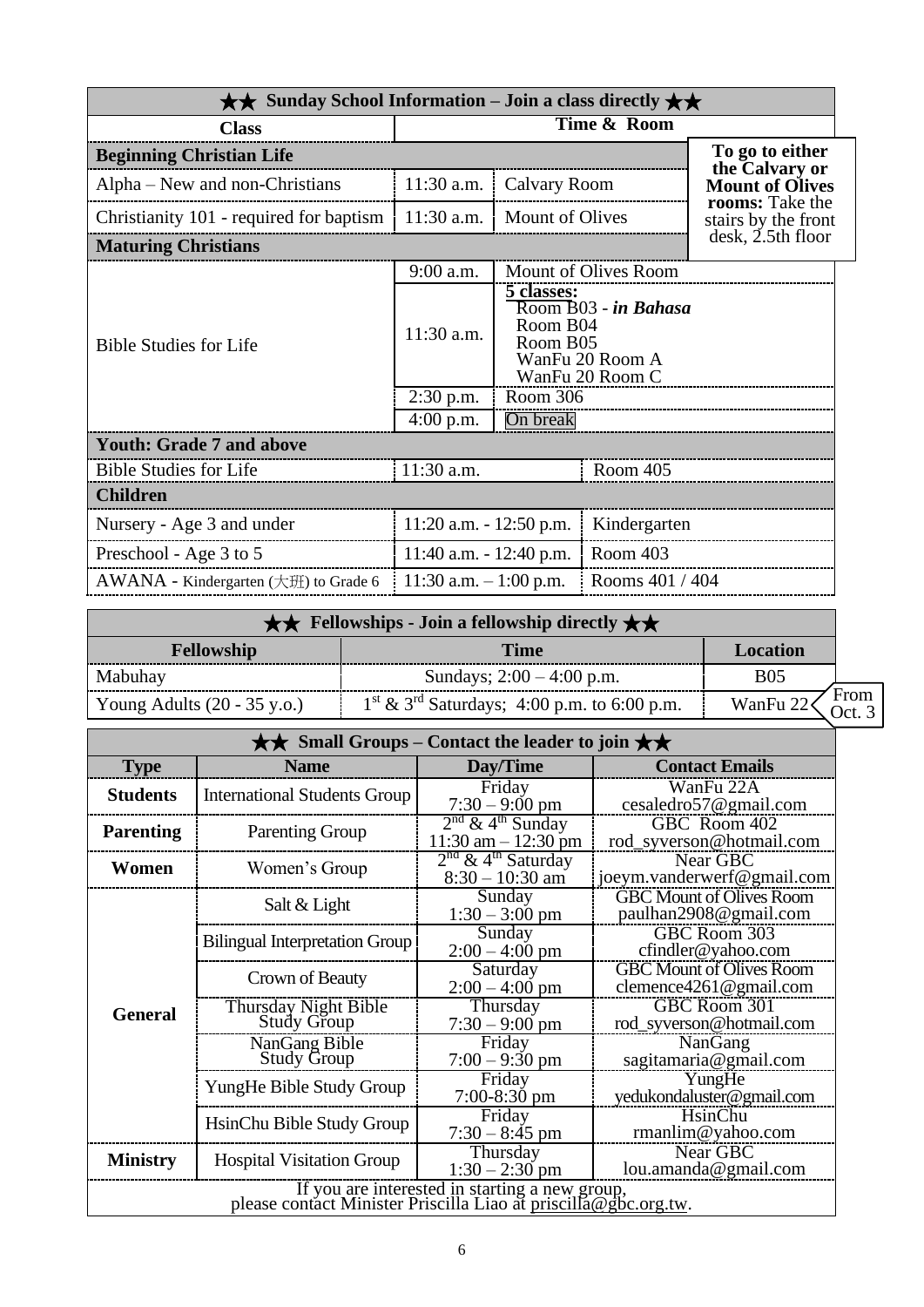| $\star\star$ Sunday School Information – Join a class directly $\star\star$ |                            |                                                                                                         |                      |                                        |
|-----------------------------------------------------------------------------|----------------------------|---------------------------------------------------------------------------------------------------------|----------------------|----------------------------------------|
| <b>Class</b>                                                                | Time & Room                |                                                                                                         |                      |                                        |
| <b>Beginning Christian Life</b>                                             |                            |                                                                                                         |                      | To go to either<br>the Calvary or      |
| Alpha – New and non-Christians                                              | $11:30$ a.m.               | Calvary Room                                                                                            |                      | <b>Mount of Olives</b>                 |
| Christianity 101 - required for baptism                                     | 11:30 a.m.                 | Mount of Olives                                                                                         |                      | rooms: Take the<br>stairs by the front |
| <b>Maturing Christians</b>                                                  |                            |                                                                                                         |                      | $\mathrm{d}\mathrm{esk}$ , 2.5th floor |
|                                                                             | 9:00 a.m.                  |                                                                                                         | Mount of Olives Room |                                        |
| <b>Bible Studies for Life</b>                                               | 11:30 a.m.                 | <u>5 classes:</u><br>Room B03 - in Bahasa<br>Room B04<br>Room B05<br>WanFu 20 Room A<br>WanFu 20 Room C |                      |                                        |
|                                                                             | $2:30$ p.m.                | Room 306<br>On break                                                                                    |                      |                                        |
|                                                                             | $4:00$ p.m.                |                                                                                                         |                      |                                        |
| <b>Youth: Grade 7 and above</b>                                             |                            |                                                                                                         |                      |                                        |
| <b>Bible Studies for Life</b>                                               | 11:30 a.m.                 |                                                                                                         | Room 405             |                                        |
| <b>Children</b>                                                             |                            |                                                                                                         |                      |                                        |
| Nursery - Age 3 and under                                                   | $11:20$ a.m. $-12:50$ p.m. |                                                                                                         | Kindergarten         |                                        |
| Preschool - Age 3 to 5                                                      | $11:40$ a.m. $-12:40$ p.m. |                                                                                                         | Room 403             |                                        |
| $AWANA$ - Kindergarten ( $\pm \text{ff}$ ) to Grade 6                       | 11:30 a.m. $-1:00$ p.m.    |                                                                                                         | Rooms 401 / 404      |                                        |

| $\star \star$ Fellowships - Join a fellowship directly $\star \star$ |                                                |            |               |
|----------------------------------------------------------------------|------------------------------------------------|------------|---------------|
| <b>Fellowship</b>                                                    | <b>Time</b>                                    | Location   |               |
| Mabuhay                                                              | Sundays; $2:00 - 4:00$ p.m.                    | <b>B05</b> |               |
| Young Adults $(20 - 35 \text{ y.o.})$                                | $1st \& 3rd$ Saturdays; 4:00 p.m. to 6:00 p.m. | WanFu 22   | From<br>Oct 3 |

| $\star\star$ Small Groups – Contact the leader to join $\star\star$                                               |                                            |                                                                                                 |                                                               |  |
|-------------------------------------------------------------------------------------------------------------------|--------------------------------------------|-------------------------------------------------------------------------------------------------|---------------------------------------------------------------|--|
| <b>Type</b>                                                                                                       | <b>Name</b>                                | Day/Time<br><b>Contact Emails</b>                                                               |                                                               |  |
| <b>Students</b>                                                                                                   | <b>International Students Group</b>        | Friday<br>$7:30 - 9:00$ pm                                                                      | WanFu 22A<br>cesaledro57@gmail.com                            |  |
| <b>Parenting</b>                                                                                                  | <b>Parenting Group</b>                     | $2nd$ & 4 <sup>th</sup> Sunday<br>$11:30$ am $-12:30$ pm                                        | GBC Room 402<br>rod_syverson@hotmail.com                      |  |
| Women                                                                                                             | Women's Group                              | $2nd$ & 4 <sup>th</sup> Saturday<br>Near GBC<br>joeym.vanderwerf@gmail.com<br>$8:30 - 10:30$ am |                                                               |  |
|                                                                                                                   | Salt & Light                               | Sunday<br>$1:30 - 3:00$ pm                                                                      | <b>GBC Mount of Olives Room</b><br>paulhan2908@gmail.com      |  |
|                                                                                                                   | <b>Bilingual Interpretation Group</b>      | Sunday<br>$2:00 - 4:00$ pm                                                                      | GBC Room 303<br>cfindler@yahoo.com                            |  |
|                                                                                                                   | Crown of Beauty                            | Saturday<br>$2:00 - 4:00$ pm                                                                    | <b>GBC Mount of Olives Room</b><br>clemence $4261$ @gmail.com |  |
| <b>General</b>                                                                                                    | Thursday Night Bible<br><b>Study Group</b> | Thursday<br>$7:30 - 9:00$ pm                                                                    | GBC Room 301<br>rod_syverson@hotmail.com                      |  |
|                                                                                                                   | NanGang Bible<br><b>Study Group</b>        | Friday<br>$7:00 - 9:30$ pm                                                                      | NanGang<br>sagitamaria@gmail.com                              |  |
|                                                                                                                   | YungHe Bible Study Group                   | Friday<br>$7:00-8:30$ pm                                                                        | YungHe<br>yedukondaluster@gmail.com                           |  |
|                                                                                                                   | HsinChu Bible Study Group                  | Friday<br>$7:30 - 8:45$ pm                                                                      | HsinChu<br>$r$ manlim@yahoo.com                               |  |
| <b>Ministry</b>                                                                                                   | <b>Hospital Visitation Group</b>           | Thursday<br>$1:30 - 2:30$ pm                                                                    | Near GBC<br>lou.amanda@gmail.com                              |  |
| If you are interested in starting a new group,<br>please contact Minister Priscilla Liao at priscilla@gbc.org.tw. |                                            |                                                                                                 |                                                               |  |